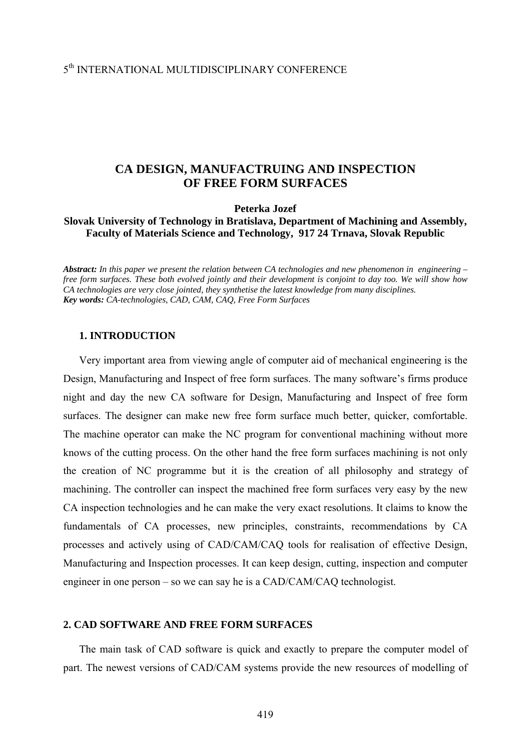#### 5th INTERNATIONAL MULTIDISCIPLINARY CONFERENCE

# **CA DESIGN, MANUFACTRUING AND INSPECTION OF FREE FORM SURFACES**

**Peterka Jozef** 

#### **Slovak University of Technology in Bratislava, Department of Machining and Assembly, Faculty of Materials Science and Technology, 917 24 Trnava, Slovak Republic**

*Abstract: In this paper we present the relation between CA technologies and new phenomenon in engineering – free form surfaces. These both evolved jointly and their development is conjoint to day too. We will show how CA technologies are very close jointed, they synthetise the latest knowledge from many disciplines. Key words: CA-technologies, CAD, CAM, CAQ, Free Form Surfaces*

#### **1. INTRODUCTION**

Very important area from viewing angle of computer aid of mechanical engineering is the Design, Manufacturing and Inspect of free form surfaces. The many software's firms produce night and day the new CA software for Design, Manufacturing and Inspect of free form surfaces. The designer can make new free form surface much better, quicker, comfortable. The machine operator can make the NC program for conventional machining without more knows of the cutting process. On the other hand the free form surfaces machining is not only the creation of NC programme but it is the creation of all philosophy and strategy of machining. The controller can inspect the machined free form surfaces very easy by the new CA inspection technologies and he can make the very exact resolutions. It claims to know the fundamentals of CA processes, new principles, constraints, recommendations by CA processes and actively using of CAD/CAM/CAQ tools for realisation of effective Design, Manufacturing and Inspection processes. It can keep design, cutting, inspection and computer engineer in one person – so we can say he is a CAD/CAM/CAQ technologist.

#### **2. CAD SOFTWARE AND FREE FORM SURFACES**

The main task of CAD software is quick and exactly to prepare the computer model of part. The newest versions of CAD/CAM systems provide the new resources of modelling of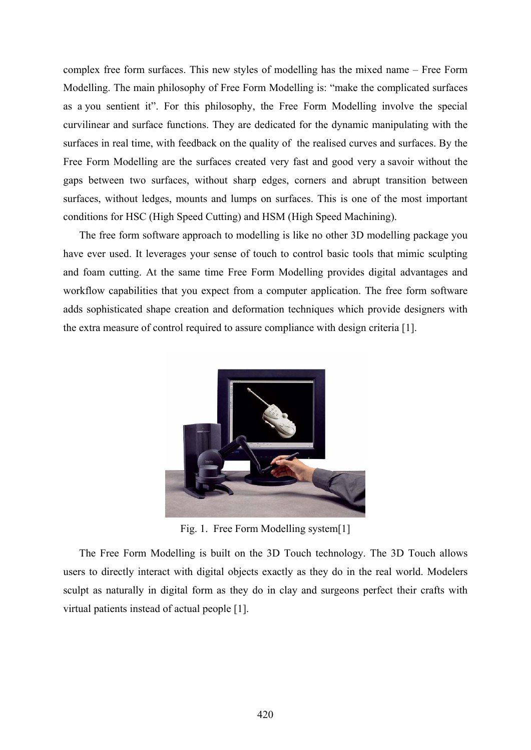complex free form surfaces. This new styles of modelling has the mixed name – Free Form Modelling. The main philosophy of Free Form Modelling is: "make the complicated surfaces as a you sentient it". For this philosophy, the Free Form Modelling involve the special curvilinear and surface functions. They are dedicated for the dynamic manipulating with the surfaces in real time, with feedback on the quality of the realised curves and surfaces. By the Free Form Modelling are the surfaces created very fast and good very a savoir without the gaps between two surfaces, without sharp edges, corners and abrupt transition between surfaces, without ledges, mounts and lumps on surfaces. This is one of the most important conditions for HSC (High Speed Cutting) and HSM (High Speed Machining).

The free form software approach to modelling is like no other 3D modelling package you have ever used. It leverages your sense of touch to control basic tools that mimic sculpting and foam cutting. At the same time Free Form Modelling provides digital advantages and workflow capabilities that you expect from a computer application. The free form software adds sophisticated shape creation and deformation techniques which provide designers with the extra measure of control required to assure compliance with design criteria [1].



Fig. 1. Free Form Modelling system[1]

The Free Form Modelling is built on the 3D Touch technology. The 3D Touch allows users to directly interact with digital objects exactly as they do in the real world. Modelers sculpt as naturally in digital form as they do in clay and surgeons perfect their crafts with virtual patients instead of actual people [1].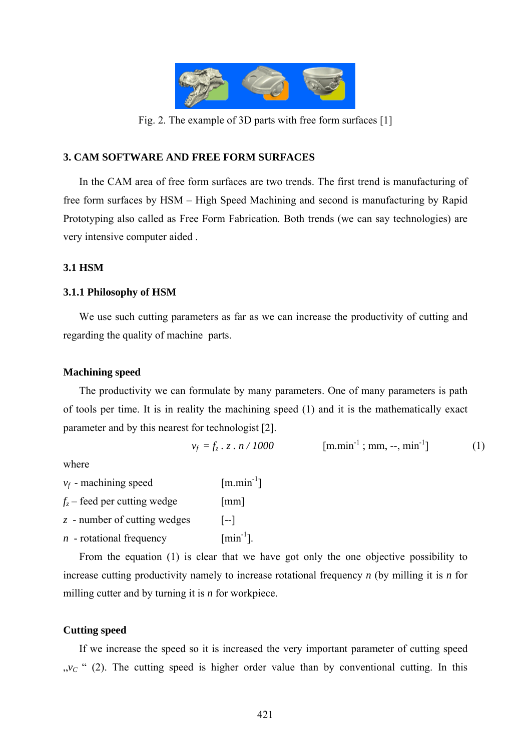

Fig. 2. The example of 3D parts with free form surfaces [1]

## **3. CAM SOFTWARE AND FREE FORM SURFACES**

In the CAM area of free form surfaces are two trends. The first trend is manufacturing of free form surfaces by HSM – High Speed Machining and second is manufacturing by Rapid Prototyping also called as Free Form Fabrication. Both trends (we can say technologies) are very intensive computer aided .

## **3.1 HSM**

## **3.1.1 Philosophy of HSM**

We use such cutting parameters as far as we can increase the productivity of cutting and regarding the quality of machine parts.

## **Machining speed**

The productivity we can formulate by many parameters. One of many parameters is path of tools per time. It is in reality the machining speed (1) and it is the mathematically exact parameter and by this nearest for technologist [2].

$$
v_f = f_z \cdot z \cdot n / 1000 \qquad \qquad [\text{m.min}^{-1}; \text{mm}, -, \text{min}^{-1}] \tag{1}
$$

where

 $v_f$  - machining speed [m.min<sup>-1</sup>]

 $f_z$  – feed per cutting wedge [mm]

*z* - number of cutting wedges [--]

 $n$  - rotational frequency [min<sup>-1</sup>].

From the equation (1) is clear that we have got only the one objective possibility to increase cutting productivity namely to increase rotational frequency *n* (by milling it is *n* for milling cutter and by turning it is *n* for workpiece.

## **Cutting speed**

If we increase the speed so it is increased the very important parameter of cutting speed  $v<sub>C</sub>$  " (2). The cutting speed is higher order value than by conventional cutting. In this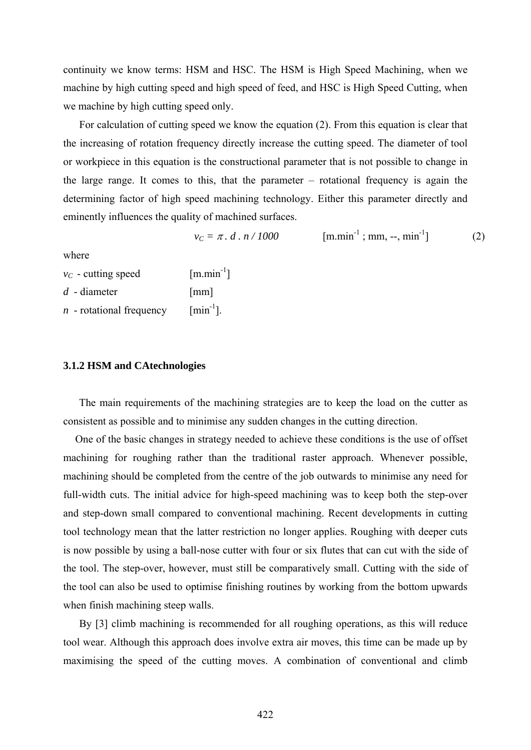continuity we know terms: HSM and HSC. The HSM is High Speed Machining, when we machine by high cutting speed and high speed of feed, and HSC is High Speed Cutting, when we machine by high cutting speed only.

For calculation of cutting speed we know the equation (2). From this equation is clear that the increasing of rotation frequency directly increase the cutting speed. The diameter of tool or workpiece in this equation is the constructional parameter that is not possible to change in the large range. It comes to this, that the parameter – rotational frequency is again the determining factor of high speed machining technology. Either this parameter directly and eminently influences the quality of machined surfaces.

$$
v_C = \pi \cdot d \cdot n / 1000 \qquad \qquad [\text{m.min}^{-1}; \text{mm}, -, \text{min}^{-1}] \tag{2}
$$

where

| $v_c$ - cutting speed | $[m.min^{-1}]$       |
|-----------------------|----------------------|
| $d$ - diameter        | $\lceil$ mm $\rceil$ |

 $n$  - rotational frequency  $\lceil \text{min}^{-1} \rceil$ .

#### **3.1.2 HSM and CAtechnologies**

The main requirements of the machining strategies are to keep the load on the cutter as consistent as possible and to minimise any sudden changes in the cutting direction.

One of the basic changes in strategy needed to achieve these conditions is the use of offset machining for roughing rather than the traditional raster approach. Whenever possible, machining should be completed from the centre of the job outwards to minimise any need for full-width cuts. The initial advice for high-speed machining was to keep both the step-over and step-down small compared to conventional machining. Recent developments in cutting tool technology mean that the latter restriction no longer applies. Roughing with deeper cuts is now possible by using a ball-nose cutter with four or six flutes that can cut with the side of the tool. The step-over, however, must still be comparatively small. Cutting with the side of the tool can also be used to optimise finishing routines by working from the bottom upwards when finish machining steep walls.

By [3] climb machining is recommended for all roughing operations, as this will reduce tool wear. Although this approach does involve extra air moves, this time can be made up by maximising the speed of the cutting moves. A combination of conventional and climb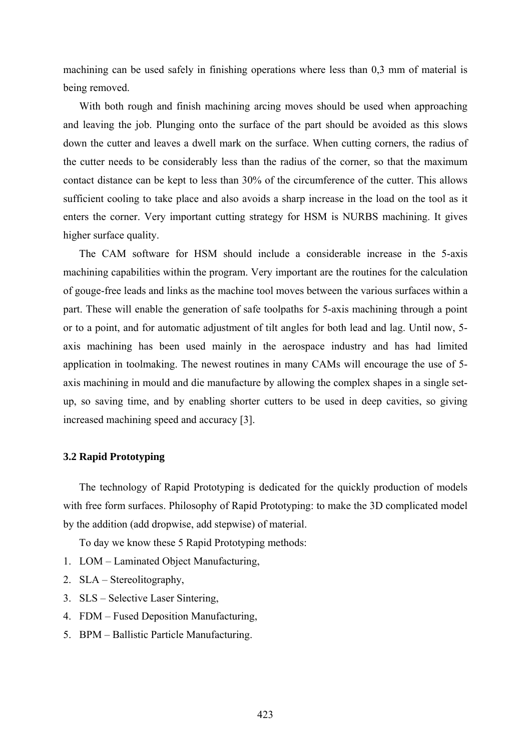machining can be used safely in finishing operations where less than 0,3 mm of material is being removed.

With both rough and finish machining arcing moves should be used when approaching and leaving the job. Plunging onto the surface of the part should be avoided as this slows down the cutter and leaves a dwell mark on the surface. When cutting corners, the radius of the cutter needs to be considerably less than the radius of the corner, so that the maximum contact distance can be kept to less than 30% of the circumference of the cutter. This allows sufficient cooling to take place and also avoids a sharp increase in the load on the tool as it enters the corner. Very important cutting strategy for HSM is NURBS machining. It gives higher surface quality.

The CAM software for HSM should include a considerable increase in the 5-axis machining capabilities within the program. Very important are the routines for the calculation of gouge-free leads and links as the machine tool moves between the various surfaces within a part. These will enable the generation of safe toolpaths for 5-axis machining through a point or to a point, and for automatic adjustment of tilt angles for both lead and lag. Until now, 5 axis machining has been used mainly in the aerospace industry and has had limited application in toolmaking. The newest routines in many CAMs will encourage the use of 5 axis machining in mould and die manufacture by allowing the complex shapes in a single setup, so saving time, and by enabling shorter cutters to be used in deep cavities, so giving increased machining speed and accuracy [3].

#### **3.2 Rapid Prototyping**

The technology of Rapid Prototyping is dedicated for the quickly production of models with free form surfaces. Philosophy of Rapid Prototyping: to make the 3D complicated model by the addition (add dropwise, add stepwise) of material.

To day we know these 5 Rapid Prototyping methods:

- 1. LOM Laminated Object Manufacturing,
- 2. SLA Stereolitography,
- 3. SLS Selective Laser Sintering,
- 4. FDM Fused Deposition Manufacturing,
- 5. BPM Ballistic Particle Manufacturing.